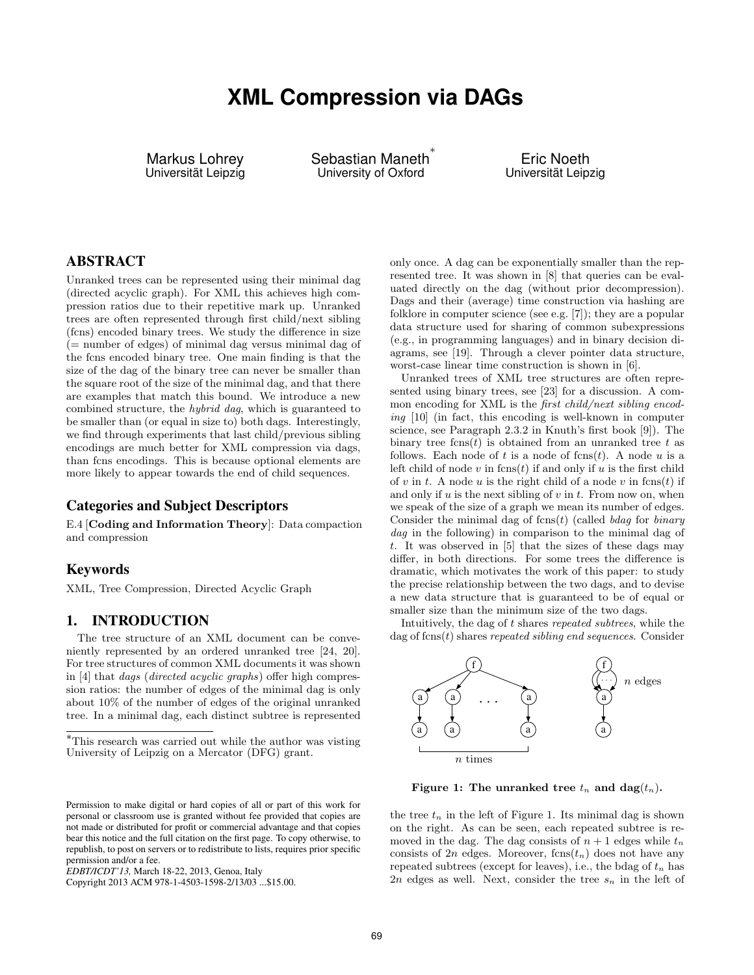# **XML Compression via DAGs**

Markus Lohrey Universität Leipzig Sebastian Maneth ∗ University of Oxford

Eric Noeth Universität Leipzig

## ABSTRACT

Unranked trees can be represented using their minimal dag (directed acyclic graph). For XML this achieves high compression ratios due to their repetitive mark up. Unranked trees are often represented through first child/next sibling (fcns) encoded binary trees. We study the difference in size  $($  = number of edges) of minimal dag versus minimal dag of the fcns encoded binary tree. One main finding is that the size of the dag of the binary tree can never be smaller than the square root of the size of the minimal dag, and that there are examples that match this bound. We introduce a new combined structure, the hybrid dag, which is guaranteed to be smaller than (or equal in size to) both dags. Interestingly, we find through experiments that last child/previous sibling encodings are much better for XML compression via dags, than fcns encodings. This is because optional elements are more likely to appear towards the end of child sequences.

## Categories and Subject Descriptors

E.4 [Coding and Information Theory]: Data compaction and compression

## Keywords

XML, Tree Compression, Directed Acyclic Graph

## 1. INTRODUCTION

The tree structure of an XML document can be conveniently represented by an ordered unranked tree [24, 20]. For tree structures of common XML documents it was shown in [4] that dags (directed acyclic graphs) offer high compression ratios: the number of edges of the minimal dag is only about 10% of the number of edges of the original unranked tree. In a minimal dag, each distinct subtree is represented only once. A dag can be exponentially smaller than the represented tree. It was shown in [8] that queries can be evaluated directly on the dag (without prior decompression). Dags and their (average) time construction via hashing are folklore in computer science (see e.g. [7]); they are a popular data structure used for sharing of common subexpressions (e.g., in programming languages) and in binary decision diagrams, see [19]. Through a clever pointer data structure, worst-case linear time construction is shown in [6].

Unranked trees of XML tree structures are often represented using binary trees, see [23] for a discussion. A common encoding for XML is the first child/next sibling encoding [10] (in fact, this encoding is well-known in computer science, see Paragraph 2.3.2 in Knuth's first book [9]). The binary tree fcns $(t)$  is obtained from an unranked tree t as follows. Each node of t is a node of  $f$ cns $(t)$ . A node u is a left child of node v in  $f(\cos(t))$  if and only if u is the first child of v in t. A node u is the right child of a node v in fcns $(t)$  if and only if  $u$  is the next sibling of  $v$  in  $t$ . From now on, when we speak of the size of a graph we mean its number of edges. Consider the minimal dag of  $f_{\text{c}}(t)$  (called bdag for binary dag in the following) in comparison to the minimal dag of t. It was observed in [5] that the sizes of these dags may differ, in both directions. For some trees the difference is dramatic, which motivates the work of this paper: to study the precise relationship between the two dags, and to devise a new data structure that is guaranteed to be of equal or smaller size than the minimum size of the two dags.

Intuitively, the dag of t shares repeated subtrees, while the dag of  $f(\text{cns}(t))$  shares repeated sibling end sequences. Consider



Figure 1: The unranked tree  $t_n$  and dag $(t_n)$ .

the tree  $t_n$  in the left of Figure 1. Its minimal dag is shown on the right. As can be seen, each repeated subtree is removed in the dag. The dag consists of  $n + 1$  edges while  $t_n$ consists of  $2n$  edges. Moreover,  $fens(t_n)$  does not have any repeated subtrees (except for leaves), i.e., the bdag of  $t_n$  has  $2n$  edges as well. Next, consider the tree  $s_n$  in the left of

<sup>∗</sup>This research was carried out while the author was visting University of Leipzig on a Mercator (DFG) grant.

Permission to make digital or hard copies of all or part of this work for personal or classroom use is granted without fee provided that copies are not made or distributed for profit or commercial advantage and that copies bear this notice and the full citation on the first page. To copy otherwise, to republish, to post on servers or to redistribute to lists, requires prior specific permission and/or a fee.

*EDBT/ICDT'13,* March 18-22, 2013, Genoa, Italy

Copyright 2013 ACM 978-1-4503-1598-2/13/03 ...\$15.00.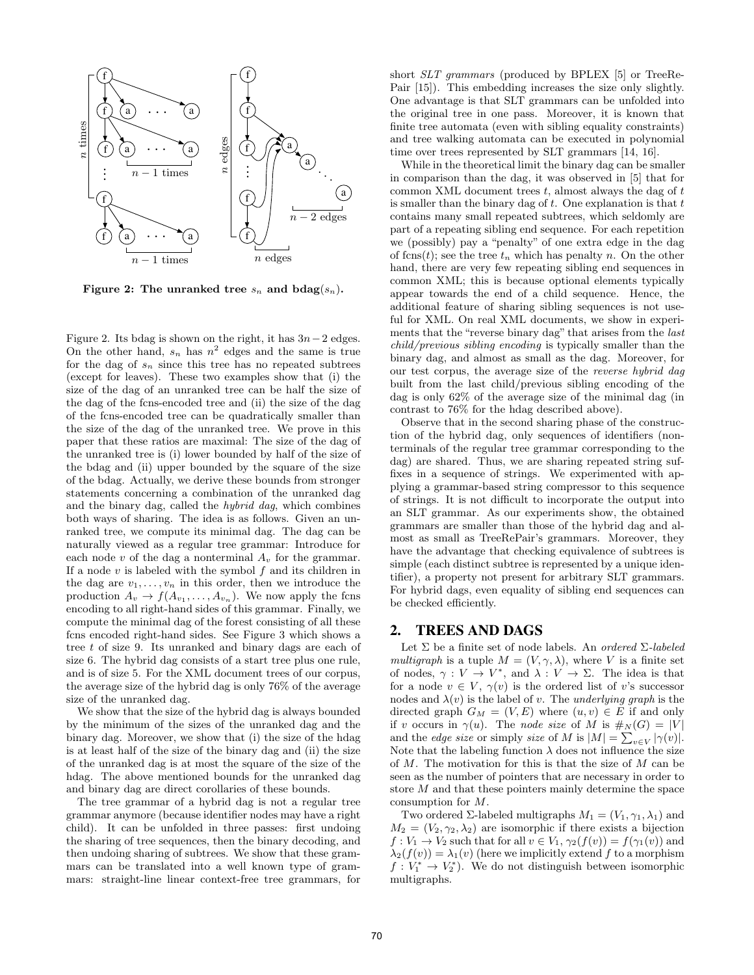

Figure 2: The unranked tree  $s_n$  and  $b \text{dag}(s_n)$ .

Figure 2. Its bdag is shown on the right, it has  $3n-2$  edges. On the other hand,  $s_n$  has  $n^2$  edges and the same is true for the dag of  $s_n$  since this tree has no repeated subtrees (except for leaves). These two examples show that (i) the size of the dag of an unranked tree can be half the size of the dag of the fcns-encoded tree and (ii) the size of the dag of the fcns-encoded tree can be quadratically smaller than the size of the dag of the unranked tree. We prove in this paper that these ratios are maximal: The size of the dag of the unranked tree is (i) lower bounded by half of the size of the bdag and (ii) upper bounded by the square of the size of the bdag. Actually, we derive these bounds from stronger statements concerning a combination of the unranked dag and the binary dag, called the hybrid dag, which combines both ways of sharing. The idea is as follows. Given an unranked tree, we compute its minimal dag. The dag can be naturally viewed as a regular tree grammar: Introduce for each node v of the dag a nonterminal  $A_v$  for the grammar. If a node  $v$  is labeled with the symbol  $f$  and its children in the dag are  $v_1, \ldots, v_n$  in this order, then we introduce the production  $A_v \to f(A_{v_1}, \ldots, A_{v_n})$ . We now apply the fcns encoding to all right-hand sides of this grammar. Finally, we compute the minimal dag of the forest consisting of all these fcns encoded right-hand sides. See Figure 3 which shows a tree t of size 9. Its unranked and binary dags are each of size 6. The hybrid dag consists of a start tree plus one rule, and is of size 5. For the XML document trees of our corpus, the average size of the hybrid dag is only 76% of the average size of the unranked dag.

We show that the size of the hybrid dag is always bounded by the minimum of the sizes of the unranked dag and the binary dag. Moreover, we show that (i) the size of the hdag is at least half of the size of the binary dag and (ii) the size of the unranked dag is at most the square of the size of the hdag. The above mentioned bounds for the unranked dag and binary dag are direct corollaries of these bounds.

The tree grammar of a hybrid dag is not a regular tree grammar anymore (because identifier nodes may have a right child). It can be unfolded in three passes: first undoing the sharing of tree sequences, then the binary decoding, and then undoing sharing of subtrees. We show that these grammars can be translated into a well known type of grammars: straight-line linear context-free tree grammars, for short SLT grammars (produced by BPLEX [5] or TreeRe-Pair [15]). This embedding increases the size only slightly. One advantage is that SLT grammars can be unfolded into the original tree in one pass. Moreover, it is known that finite tree automata (even with sibling equality constraints) and tree walking automata can be executed in polynomial time over trees represented by SLT grammars [14, 16].

While in the theoretical limit the binary dag can be smaller in comparison than the dag, it was observed in [5] that for common XML document trees  $t$ , almost always the dag of  $t$ is smaller than the binary dag of  $t$ . One explanation is that  $t$ contains many small repeated subtrees, which seldomly are part of a repeating sibling end sequence. For each repetition we (possibly) pay a "penalty" of one extra edge in the dag of fcns $(t)$ ; see the tree  $t_n$  which has penalty n. On the other hand, there are very few repeating sibling end sequences in common XML; this is because optional elements typically appear towards the end of a child sequence. Hence, the additional feature of sharing sibling sequences is not useful for XML. On real XML documents, we show in experiments that the "reverse binary dag" that arises from the last child/previous sibling encoding is typically smaller than the binary dag, and almost as small as the dag. Moreover, for our test corpus, the average size of the reverse hybrid dag built from the last child/previous sibling encoding of the dag is only 62% of the average size of the minimal dag (in contrast to 76% for the hdag described above).

Observe that in the second sharing phase of the construction of the hybrid dag, only sequences of identifiers (nonterminals of the regular tree grammar corresponding to the dag) are shared. Thus, we are sharing repeated string suffixes in a sequence of strings. We experimented with applying a grammar-based string compressor to this sequence of strings. It is not difficult to incorporate the output into an SLT grammar. As our experiments show, the obtained grammars are smaller than those of the hybrid dag and almost as small as TreeRePair's grammars. Moreover, they have the advantage that checking equivalence of subtrees is simple (each distinct subtree is represented by a unique identifier), a property not present for arbitrary SLT grammars. For hybrid dags, even equality of sibling end sequences can be checked efficiently.

## 2. TREES AND DAGS

Let  $\Sigma$  be a finite set of node labels. An *ordered*  $\Sigma$ -labeled multigraph is a tuple  $M = (V, \gamma, \lambda)$ , where V is a finite set of nodes,  $\gamma: V \to V^*$ , and  $\lambda: V \to \Sigma$ . The idea is that for a node  $v \in V$ ,  $\gamma(v)$  is the ordered list of v's successor nodes and  $\lambda(v)$  is the label of v. The underlying graph is the directed graph  $G_M = (V, E)$  where  $(u, v) \in E$  if and only if v occurs in  $\gamma(u)$ . The node size of M is  $\#_N(G) = |V|$ and the *edge size* or simply *size* of M is  $|M| = \sum_{v \in V} |\gamma(v)|$ . Note that the labeling function  $\lambda$  does not influence the size of M. The motivation for this is that the size of M can be seen as the number of pointers that are necessary in order to store M and that these pointers mainly determine the space consumption for M.

Two ordered  $\Sigma$ -labeled multigraphs  $M_1 = (V_1, \gamma_1, \lambda_1)$  and  $M_2 = (V_2, \gamma_2, \lambda_2)$  are isomorphic if there exists a bijection  $f: V_1 \to V_2$  such that for all  $v \in V_1$ ,  $\gamma_2(f(v)) = f(\gamma_1(v))$  and  $\lambda_2(f(v)) = \lambda_1(v)$  (here we implicitly extend f to a morphism  $f: V_1^* \to V_2^*$ . We do not distinguish between isomorphic multigraphs.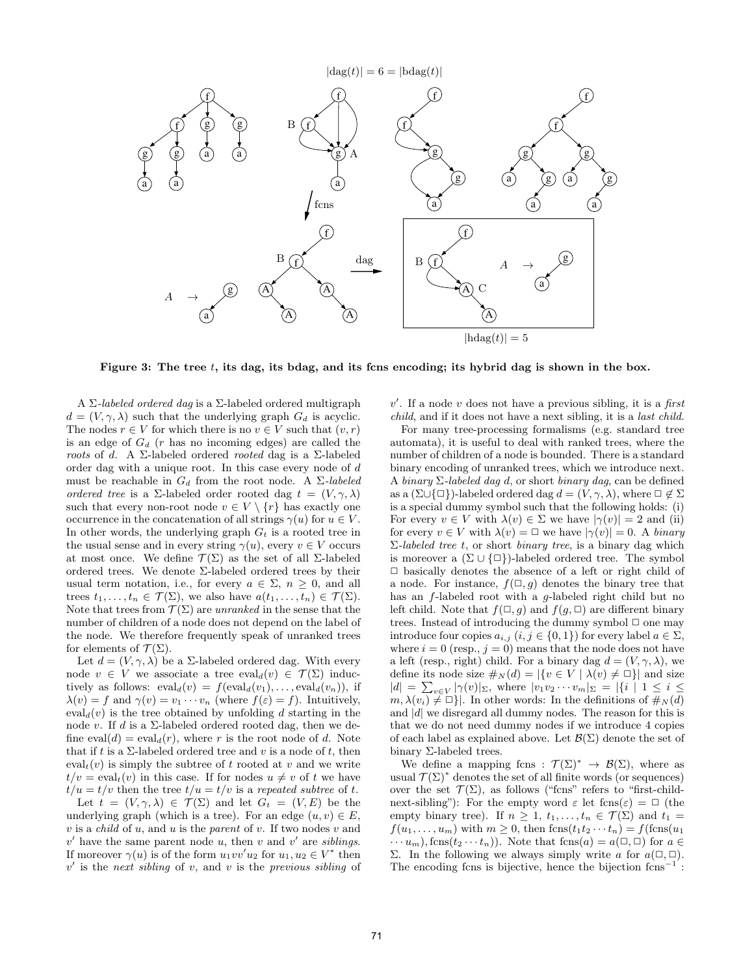

Figure 3: The tree  $t$ , its dag, its bdag, and its fins encoding; its hybrid dag is shown in the box.

A Σ-labeled ordered dag is a Σ-labeled ordered multigraph  $d = (V, \gamma, \lambda)$  such that the underlying graph  $G_d$  is acyclic. The nodes  $r \in V$  for which there is no  $v \in V$  such that  $(v, r)$ is an edge of  $G_d$  (r has no incoming edges) are called the roots of d. A  $\Sigma$ -labeled ordered rooted dag is a  $\Sigma$ -labeled order dag with a unique root. In this case every node of d must be reachable in  $G_d$  from the root node. A  $\Sigma$ -labeled ordered tree is a Σ-labeled order rooted dag  $t = (V, \gamma, \lambda)$ such that every non-root node  $v \in V \setminus \{r\}$  has exactly one occurrence in the concatenation of all strings  $\gamma(u)$  for  $u \in V$ . In other words, the underlying graph  $G_t$  is a rooted tree in the usual sense and in every string  $\gamma(u)$ , every  $v \in V$  occurs at most once. We define  $\mathcal{T}(\Sigma)$  as the set of all  $\Sigma$ -labeled ordered trees. We denote Σ-labeled ordered trees by their usual term notation, i.e., for every  $a \in \Sigma$ ,  $n \geq 0$ , and all trees  $t_1, \ldots, t_n \in \mathcal{T}(\Sigma)$ , we also have  $a(t_1, \ldots, t_n) \in \mathcal{T}(\Sigma)$ . Note that trees from  $\mathcal{T}(\Sigma)$  are unranked in the sense that the number of children of a node does not depend on the label of the node. We therefore frequently speak of unranked trees for elements of  $\mathcal{T}(\Sigma)$ .

Let  $d = (V, \gamma, \lambda)$  be a  $\Sigma$ -labeled ordered dag. With every node  $v \in V$  we associate a tree  $eval_d(v) \in \mathcal{T}(\Sigma)$  inductively as follows:  $eval_d(v) = feval_d(v_1), \ldots, eval_d(v_n)$ , if  $\lambda(v) = f$  and  $\gamma(v) = v_1 \cdots v_n$  (where  $f(\varepsilon) = f$ ). Intuitively,  $eval<sub>d</sub>(v)$  is the tree obtained by unfolding d starting in the node v. If  $d$  is a  $\Sigma$ -labeled ordered rooted dag, then we define eval $(d) = \text{eval}_d(r)$ , where r is the root node of d. Note that if t is a  $\Sigma$ -labeled ordered tree and v is a node of t, then  $eval<sub>t</sub>(v)$  is simply the subtree of t rooted at v and we write  $t/v = \text{eval}_t(v)$  in this case. If for nodes  $u \neq v$  of t we have  $t/u = t/v$  then the tree  $t/u = t/v$  is a repeated subtree of t.

Let  $t = (V, \gamma, \lambda) \in \mathcal{T}(\Sigma)$  and let  $G_t = (V, E)$  be the underlying graph (which is a tree). For an edge  $(u, v) \in E$ ,  $v$  is a *child* of  $u$ , and  $u$  is the parent of  $v$ . If two nodes  $v$  and  $v'$  have the same parent node u, then v and v' are siblings. If moreover  $\gamma(u)$  is of the form  $u_1vv'u_2$  for  $u_1, u_2 \in V^*$  then  $v'$  is the next sibling of v, and v is the previous sibling of

 $v'$ . If a node v does not have a previous sibling, it is a first child, and if it does not have a next sibling, it is a last child.

For many tree-processing formalisms (e.g. standard tree automata), it is useful to deal with ranked trees, where the number of children of a node is bounded. There is a standard binary encoding of unranked trees, which we introduce next. A binary  $\Sigma$ -labeled dag d, or short binary dag, can be defined as a ( $\Sigma \cup \{\Box\}$ )-labeled ordered dag  $d = (V, \gamma, \lambda)$ , where  $\Box \notin \Sigma$ is a special dummy symbol such that the following holds: (i) For every  $v \in V$  with  $\lambda(v) \in \Sigma$  we have  $|\gamma(v)| = 2$  and (ii) for every  $v \in V$  with  $\lambda(v) = \square$  we have  $|\gamma(v)| = 0$ . A binary  $\Sigma$ -labeled tree t, or short binary tree, is a binary dag which is moreover a  $(\Sigma \cup {\square})$ -labeled ordered tree. The symbol  $\Box$  basically denotes the absence of a left or right child of a node. For instance,  $f(\Box, g)$  denotes the binary tree that has an f-labeled root with a g-labeled right child but no left child. Note that  $f(\Box, g)$  and  $f(g, \Box)$  are different binary trees. Instead of introducing the dummy symbol  $\Box$  one may introduce four copies  $a_{i,j}$   $(i, j \in \{0, 1\})$  for every label  $a \in \Sigma$ , where  $i = 0$  (resp.,  $j = 0$ ) means that the node does not have a left (resp., right) child. For a binary dag  $d = (V, \gamma, \lambda)$ , we define its node size  $\#_N(d) = |\{v \in V \mid \lambda(v) \neq \Box\}|$  and size  $|d| = \sum_{v \in V} |\gamma(v)|_{\Sigma}$ , where  $|v_1v_2\cdots v_m|_{\Sigma} = |\{i \mid 1 \le i \le n\}|$  $m, \lambda(v_i) \neq \Box$ . In other words: In the definitions of  $\#_N(d)$ and  $|d|$  we disregard all dummy nodes. The reason for this is that we do not need dummy nodes if we introduce 4 copies of each label as explained above. Let  $\mathcal{B}(\Sigma)$  denote the set of binary Σ-labeled trees.

We define a mapping fcns :  $\mathcal{T}(\Sigma)^* \to \mathcal{B}(\Sigma)$ , where as usual  $\mathcal{T}(\Sigma)^*$  denotes the set of all finite words (or sequences) over the set  $\mathcal{T}(\Sigma)$ , as follows ("fcns" refers to "first-childnext-sibling"): For the empty word  $\varepsilon$  let  $f(\cos(\varepsilon)) = \Box$  (the empty binary tree). If  $n \geq 1, t_1, \ldots, t_n \in \mathcal{T}(\Sigma)$  and  $t_1 =$  $f(u_1, \ldots, u_m)$  with  $m \geq 0$ , then  $f(\text{cns}(t_1 t_2 \cdots t_n)) = f(\text{fcns}(u_1$  $\cdots u_m$ , fcns $(t_2 \cdots t_n)$ . Note that fcns $(a) = a(\square, \square)$  for  $a \in \square$ Σ. In the following we always simply write a for  $a(\Box, \Box)$ . The encoding fcns is bijective, hence the bijection  $f_{\text{cns}}^{-1}$ :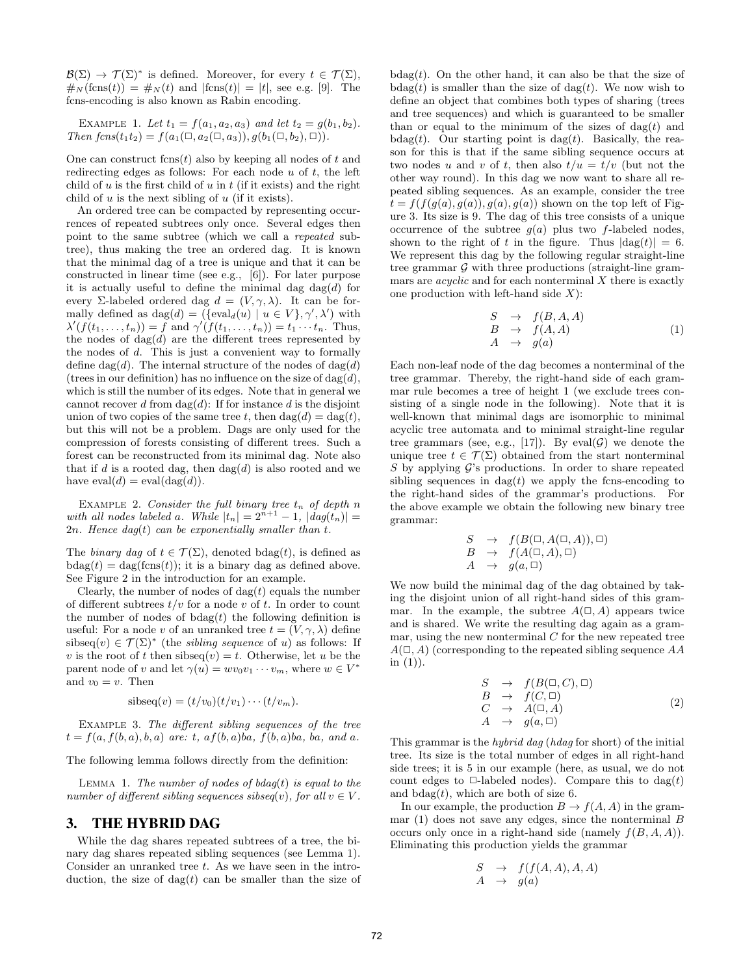$\mathcal{B}(\Sigma) \to \mathcal{T}(\Sigma)^*$  is defined. Moreover, for every  $t \in \mathcal{T}(\Sigma)$ ,  $\#_N(\text{fcns}(t)) = \#_N(t)$  and  $|\text{fcns}(t)| = |t|$ , see e.g. [9]. The fcns-encoding is also known as Rabin encoding.

EXAMPLE 1. Let  $t_1 = f(a_1, a_2, a_3)$  and let  $t_2 = g(b_1, b_2)$ . Then  $fcns(t_1t_2) = f(a_1(\Box, a_2(\Box, a_3)), g(b_1(\Box, b_2), \Box)).$ 

One can construct  $f(\text{cns}(t))$  also by keeping all nodes of t and redirecting edges as follows: For each node  $u$  of  $t$ , the left child of u is the first child of u in t (if it exists) and the right child of  $u$  is the next sibling of  $u$  (if it exists).

An ordered tree can be compacted by representing occurrences of repeated subtrees only once. Several edges then point to the same subtree (which we call a repeated subtree), thus making the tree an ordered dag. It is known that the minimal dag of a tree is unique and that it can be constructed in linear time (see e.g., [6]). For later purpose it is actually useful to define the minimal dag  $\text{dag}(d)$  for every Σ-labeled ordered dag  $d = (V, \gamma, \lambda)$ . It can be formally defined as  $\text{dag}(d) = (\{\text{eval}_d(u) \mid u \in V\}, \gamma', \lambda')$  with  $\lambda'(f(t_1,\ldots,t_n))=f$  and  $\gamma'(f(t_1,\ldots,t_n))=t_1\cdots t_n$ . Thus, the nodes of  $\text{dag}(d)$  are the different trees represented by the nodes of  $d$ . This is just a convenient way to formally define dag(d). The internal structure of the nodes of dag(d) (trees in our definition) has no influence on the size of  $\text{dag}(d)$ , which is still the number of its edges. Note that in general we cannot recover d from  $\text{dag}(d)$ : If for instance d is the disjoint union of two copies of the same tree t, then  $\text{dag}(d) = \text{dag}(t)$ , but this will not be a problem. Dags are only used for the compression of forests consisting of different trees. Such a forest can be reconstructed from its minimal dag. Note also that if d is a rooted dag, then  $\text{dag}(d)$  is also rooted and we have  $eval(d) = eval(dag(d)).$ 

EXAMPLE 2. Consider the full binary tree  $t_n$  of depth n with all nodes labeled a. While  $|t_n| = 2^{n+1} - 1$ ,  $|daq(t_n)| =$ 2n. Hence  $d aq(t)$  can be exponentially smaller than t.

The binary dag of  $t \in \mathcal{T}(\Sigma)$ , denoted bdag(t), is defined as  $b\text{dag}(t) = \text{dag}(\text{fcns}(t));$  it is a binary dag as defined above. See Figure 2 in the introduction for an example.

Clearly, the number of nodes of  $\text{dag}(t)$  equals the number of different subtrees  $t/v$  for a node v of t. In order to count the number of nodes of  $b \text{dag}(t)$  the following definition is useful: For a node v of an unranked tree  $t = (V, \gamma, \lambda)$  define sibseq $(v) \in \mathcal{T}(\Sigma)^*$  (the *sibling sequence* of u) as follows: If v is the root of t then sibseq $(v) = t$ . Otherwise, let u be the parent node of v and let  $\gamma(u) = w v_0 v_1 \cdots v_m$ , where  $w \in V^*$ and  $v_0 = v$ . Then

$$
sibseq(v) = (t/v_0)(t/v_1) \cdots (t/v_m).
$$

Example 3. The different sibling sequences of the tree  $t = f(a, f(b, a), b, a)$  are: t,  $af(b, a)ba$ ,  $f(b, a)ba$ , ba, and a.

The following lemma follows directly from the definition:

LEMMA 1. The number of nodes of  $bdaq(t)$  is equal to the number of different sibling sequences sibseq $(v)$ , for all  $v \in V$ .

## 3. THE HYBRID DAG

While the dag shares repeated subtrees of a tree, the binary dag shares repeated sibling sequences (see Lemma 1). Consider an unranked tree  $t$ . As we have seen in the introduction, the size of  $\text{dag}(t)$  can be smaller than the size of  $b\text{dag}(t)$ . On the other hand, it can also be that the size of  $bdag(t)$  is smaller than the size of  $dag(t)$ . We now wish to define an object that combines both types of sharing (trees and tree sequences) and which is guaranteed to be smaller than or equal to the minimum of the sizes of  $\text{dag}(t)$  and bdag(t). Our starting point is dag(t). Basically, the reason for this is that if the same sibling sequence occurs at two nodes u and v of t, then also  $t/u = t/v$  (but not the other way round). In this dag we now want to share all repeated sibling sequences. As an example, consider the tree  $t = f(f(g(a), g(a)), g(a), g(a))$  shown on the top left of Figure 3. Its size is 9. The dag of this tree consists of a unique occurrence of the subtree  $g(a)$  plus two f-labeled nodes, shown to the right of t in the figure. Thus  $|dag(t)| = 6$ . We represent this dag by the following regular straight-line tree grammar  $G$  with three productions (straight-line grammars are *acyclic* and for each nonterminal  $X$  there is exactly one production with left-hand side  $X$ :

$$
\begin{array}{rcl}\nS & \rightarrow & f(B, A, A) \\
B & \rightarrow & f(A, A) \\
A & \rightarrow & g(a)\n\end{array} \tag{1}
$$

Each non-leaf node of the dag becomes a nonterminal of the tree grammar. Thereby, the right-hand side of each grammar rule becomes a tree of height 1 (we exclude trees consisting of a single node in the following). Note that it is well-known that minimal dags are isomorphic to minimal acyclic tree automata and to minimal straight-line regular tree grammars (see, e.g., [17]). By eval( $G$ ) we denote the unique tree  $t \in \mathcal{T}(\Sigma)$  obtained from the start nonterminal S by applying  $\mathcal{G}$ 's productions. In order to share repeated sibling sequences in  $\text{dag}(t)$  we apply the fcns-encoding to the right-hand sides of the grammar's productions. For the above example we obtain the following new binary tree grammar:

$$
S \rightarrow f(B(\Box, A(\Box, A)), \Box)
$$
  
\n
$$
B \rightarrow f(A(\Box, A), \Box)
$$
  
\n
$$
A \rightarrow g(a, \Box)
$$

We now build the minimal dag of the dag obtained by taking the disjoint union of all right-hand sides of this grammar. In the example, the subtree  $A(\square, A)$  appears twice and is shared. We write the resulting dag again as a grammar, using the new nonterminal  $C$  for the new repeated tree  $A(\square, A)$  (corresponding to the repeated sibling sequence AA in  $(1)$ ).

$$
S \rightarrow f(B(\Box, C), \Box)
$$
  
\n
$$
B \rightarrow f(C, \Box)
$$
  
\n
$$
C \rightarrow A(\Box, A)
$$
  
\n
$$
A \rightarrow g(a, \Box)
$$
\n(2)

This grammar is the hybrid dag (hdag for short) of the initial tree. Its size is the total number of edges in all right-hand side trees; it is 5 in our example (here, as usual, we do not count edges to  $\Box$ -labeled nodes). Compare this to  $\text{dag}(t)$ and  $b\text{dag}(t)$ , which are both of size 6.

In our example, the production  $B \to f(A, A)$  in the grammar  $(1)$  does not save any edges, since the nonterminal  $B$ occurs only once in a right-hand side (namely  $f(B, A, A)$ ). Eliminating this production yields the grammar

$$
\begin{array}{rcl} S & \to & f(f(A, A), A, A) \\ A & \to & g(a) \end{array}
$$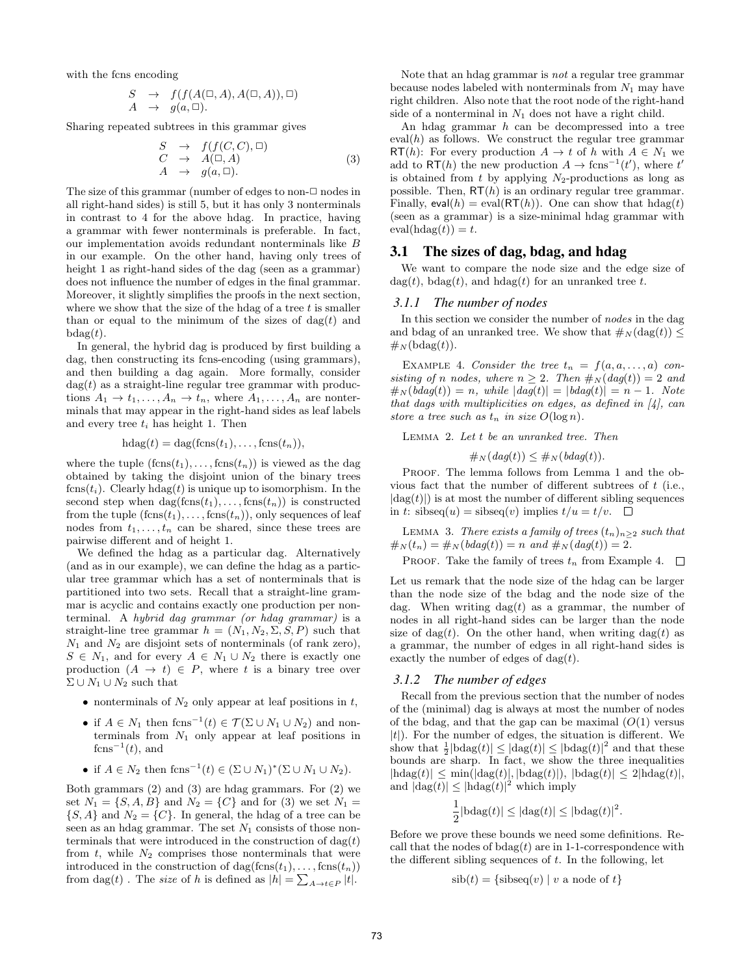with the fcns encoding

$$
S \rightarrow f(f(A(\Box, A), A(\Box, A)), \Box)
$$
  

$$
A \rightarrow g(a, \Box).
$$

Sharing repeated subtrees in this grammar gives

$$
S \rightarrow f(f(C, C), \Box)
$$
  
\n
$$
C \rightarrow A(\Box, A)
$$
  
\n
$$
A \rightarrow g(a, \Box).
$$
\n(3)

The size of this grammar (number of edges to non- $\Box$  nodes in all right-hand sides) is still 5, but it has only 3 nonterminals in contrast to 4 for the above hdag. In practice, having a grammar with fewer nonterminals is preferable. In fact, our implementation avoids redundant nonterminals like B in our example. On the other hand, having only trees of height 1 as right-hand sides of the dag (seen as a grammar) does not influence the number of edges in the final grammar. Moreover, it slightly simplifies the proofs in the next section, where we show that the size of the hdag of a tree  $t$  is smaller than or equal to the minimum of the sizes of  $\text{dag}(t)$  and  $bdag(t)$ .

In general, the hybrid dag is produced by first building a dag, then constructing its fcns-encoding (using grammars), and then building a dag again. More formally, consider  $\text{dag}(t)$  as a straight-line regular tree grammar with productions  $A_1 \to t_1, \ldots, A_n \to t_n$ , where  $A_1, \ldots, A_n$  are nonterminals that may appear in the right-hand sides as leaf labels and every tree  $t_i$  has height 1. Then

$$
h \text{dag}(t) = \text{dag}(\text{fcns}(t_1), \ldots, \text{fcns}(t_n)),
$$

where the tuple  $(f\text{cns}(t_1), \ldots, f\text{cns}(t_n))$  is viewed as the dag obtained by taking the disjoint union of the binary trees  $fens(t_i)$ . Clearly  $hlag(t)$  is unique up to isomorphism. In the second step when  $\text{dag}(\text{fens}(t_1), \ldots, \text{fens}(t_n))$  is constructed from the tuple  $(fens(t_1), \ldots, fens(t_n))$ , only sequences of leaf nodes from  $t_1, \ldots, t_n$  can be shared, since these trees are pairwise different and of height 1.

We defined the hdag as a particular dag. Alternatively (and as in our example), we can define the hdag as a particular tree grammar which has a set of nonterminals that is partitioned into two sets. Recall that a straight-line grammar is acyclic and contains exactly one production per nonterminal. A hybrid dag grammar (or hdag grammar) is a straight-line tree grammar  $h = (N_1, N_2, \Sigma, S, P)$  such that  $N_1$  and  $N_2$  are disjoint sets of nonterminals (of rank zero),  $S \in N_1$ , and for every  $A \in N_1 \cup N_2$  there is exactly one production  $(A \rightarrow t) \in P$ , where t is a binary tree over  $\Sigma \cup N_1 \cup N_2$  such that

- nonterminals of  $N_2$  only appear at leaf positions in t,
- if  $A \in N_1$  then  $f \text{cns}^{-1}(t) \in \mathcal{T}(\Sigma \cup N_1 \cup N_2)$  and nonterminals from  $N_1$  only appear at leaf positions in  $f\text{cns}^{-1}(t)$ , and
- if  $A \in N_2$  then fcns<sup>-1</sup>(t)  $\in (\Sigma \cup N_1)^*(\Sigma \cup N_1 \cup N_2)$ .

Both grammars (2) and (3) are hdag grammars. For (2) we set  $N_1 = \{S, A, B\}$  and  $N_2 = \{C\}$  and for (3) we set  $N_1 =$  $\{S, A\}$  and  $N_2 = \{C\}$ . In general, the hdag of a tree can be seen as an hdag grammar. The set  $N_1$  consists of those nonterminals that were introduced in the construction of  $\text{dag}(t)$ from  $t$ , while  $N_2$  comprises those nonterminals that were introduced in the construction of  $\text{dag}(\text{fens}(t_1), \ldots, \text{fens}(t_n))$ from  $\text{dag}(t)$ . The *size* of h is defined as  $|h| = \sum_{A \to t \in P} |t|$ .

Note that an hdag grammar is not a regular tree grammar because nodes labeled with nonterminals from  $N_1$  may have right children. Also note that the root node of the right-hand side of a nonterminal in  $N_1$  does not have a right child.

An hdag grammar h can be decompressed into a tree eval $(h)$  as follows. We construct the regular tree grammar RT(h): For every production  $A \to t$  of h with  $A \in N_1$  we add to RT(h) the new production  $A \to \text{fcns}^{-1}(t')$ , where  $t'$ is obtained from t by applying  $N_2$ -productions as long as possible. Then,  $RT(h)$  is an ordinary regular tree grammar. Finally,  $eval(h) = eval(RT(h))$ . One can show that  $hdag(t)$ (seen as a grammar) is a size-minimal hdag grammar with  $eval(hdag(t)) = t.$ 

## 3.1 The sizes of dag, bdag, and hdag

We want to compare the node size and the edge size of dag(t), bdag(t), and hdag(t) for an unranked tree t.

#### *3.1.1 The number of nodes*

In this section we consider the number of nodes in the dag and bdag of an unranked tree. We show that  $\#_N(\text{dag}(t)) \leq$  $\#_N(\text{bdag}(t)).$ 

EXAMPLE 4. Consider the tree  $t_n = f(a, a, \ldots, a)$  consisting of n nodes, where  $n \geq 2$ . Then  $\#_N (dag(t)) = 2$  and  $\#_N(bdag(t)) = n$ , while  $|dag(t)| = |bdag(t)| = n - 1$ . Note that dags with multiplicities on edges, as defined in  $\vert 4 \vert$ , can store a tree such as  $t_n$  in size  $O(\log n)$ .

Lemma 2. Let t be an unranked tree. Then

$$
\#_N(dag(t)) \leq \#_N(bdag(t)).
$$

PROOF. The lemma follows from Lemma 1 and the obvious fact that the number of different subtrees of  $t$  (i.e.,  $|dag(t)|$ ) is at most the number of different sibling sequences in t: sibseq $(u)$  = sibseq $(v)$  implies  $t/u = t/v$ .  $\Box$ 

LEMMA 3. There exists a family of trees  $(t_n)_{n>2}$  such that  $\#_N(t_n) = \#_N(bdag(t)) = n \text{ and } \#_N(dag(t)) = 2.$ 

PROOF. Take the family of trees  $t_n$  from Example 4.  $\Box$ 

Let us remark that the node size of the hdag can be larger than the node size of the bdag and the node size of the dag. When writing  $\text{dag}(t)$  as a grammar, the number of nodes in all right-hand sides can be larger than the node size of dag(t). On the other hand, when writing dag(t) as a grammar, the number of edges in all right-hand sides is exactly the number of edges of  $\text{dag}(t)$ .

#### *3.1.2 The number of edges*

Recall from the previous section that the number of nodes of the (minimal) dag is always at most the number of nodes of the bdag, and that the gap can be maximal  $(O(1))$  versus  $|t|$ ). For the number of edges, the situation is different. We show that  $\frac{1}{2}|\text{bdag}(t)| \leq |\text{dag}(t)| \leq |\text{bdag}(t)|^2$  and that these bounds are sharp. In fact, we show the three inequalities  $|\text{hdag}(t)| \le \min(|\text{dag}(t)|, |\text{bdag}(t)|), |\text{bdag}(t)| \le 2|\text{hdag}(t)|,$ and  $|\text{dag}(t)| \leq |\text{hdag}(t)|^2$  which imply

$$
\frac{1}{2}|\mathrm{bdag}(t)| \leq |\mathrm{dag}(t)| \leq |\mathrm{bdag}(t)|^2.
$$

Before we prove these bounds we need some definitions. Recall that the nodes of  $b \text{dag}(t)$  are in 1-1-correspondence with the different sibling sequences of  $t$ . In the following, let

$$
sib(t) = {sibseq(v) | v a node of t}
$$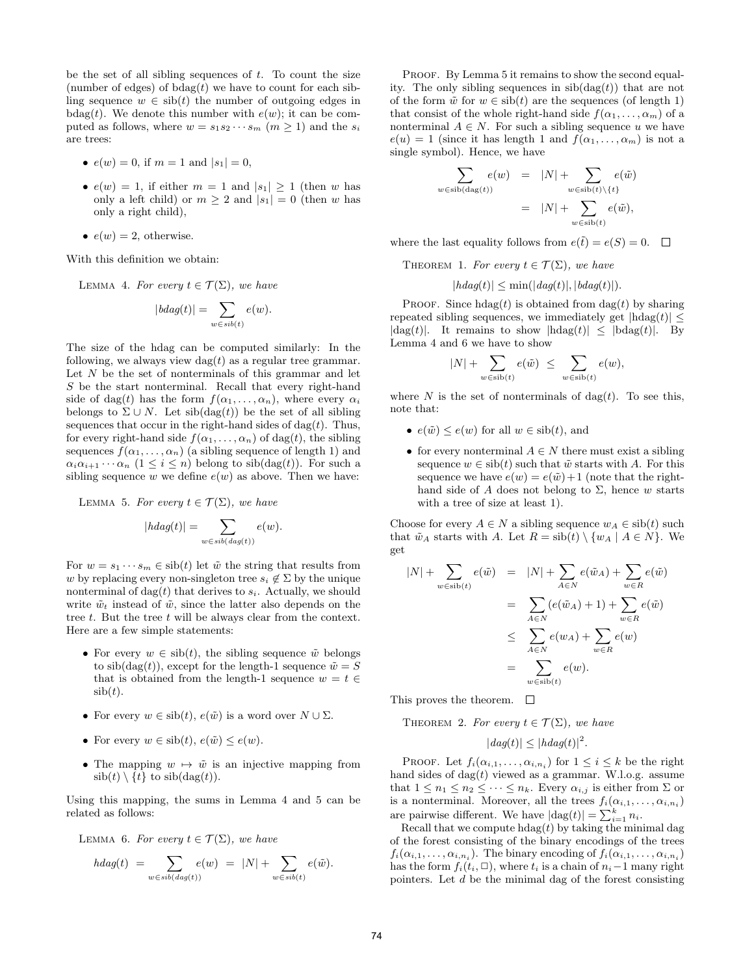be the set of all sibling sequences of  $t$ . To count the size (number of edges) of  $bdag(t)$  we have to count for each sibling sequence  $w \in sib(t)$  the number of outgoing edges in bdag(t). We denote this number with  $e(w)$ ; it can be computed as follows, where  $w = s_1 s_2 \cdots s_m$   $(m > 1)$  and the  $s_i$ are trees:

- $e(w) = 0$ , if  $m = 1$  and  $|s_1| = 0$ ,
- $e(w) = 1$ , if either  $m = 1$  and  $|s_1| \geq 1$  (then w has only a left child) or  $m \geq 2$  and  $|s_1| = 0$  (then w has only a right child),
- $e(w) = 2$ , otherwise.

With this definition we obtain:

LEMMA 4. For every  $t \in \mathcal{T}(\Sigma)$ , we have

$$
|bdag(t)| = \sum_{w \in sib(t)} e(w).
$$

The size of the hdag can be computed similarly: In the following, we always view  $\text{dag}(t)$  as a regular tree grammar. Let  $N$  be the set of nonterminals of this grammar and let S be the start nonterminal. Recall that every right-hand side of dag(t) has the form  $f(\alpha_1, \ldots, \alpha_n)$ , where every  $\alpha_i$ belongs to  $\Sigma \cup N$ . Let  $\operatorname{sib}(\operatorname{dag}(t))$  be the set of all sibling sequences that occur in the right-hand sides of dag( $t$ ). Thus, for every right-hand side  $f(\alpha_1, \ldots, \alpha_n)$  of dag(t), the sibling sequences  $f(\alpha_1, \ldots, \alpha_n)$  (a sibling sequence of length 1) and  $\alpha_i \alpha_{i+1} \cdots \alpha_n$   $(1 \leq i \leq n)$  belong to sib $(\text{dag}(t))$ . For such a sibling sequence w we define  $e(w)$  as above. Then we have:

LEMMA 5. For every  $t \in \mathcal{T}(\Sigma)$ , we have

$$
|h dag(t)| = \sum_{w \in sib(dag(t))} e(w).
$$

For  $w = s_1 \cdots s_m \in \text{sib}(t)$  let  $\tilde{w}$  the string that results from w by replacing every non-singleton tree  $s_i \notin \Sigma$  by the unique nonterminal of dag(t) that derives to  $s_i$ . Actually, we should write  $\tilde{w}_t$  instead of  $\tilde{w}$ , since the latter also depends on the tree  $t$ . But the tree  $t$  will be always clear from the context. Here are a few simple statements:

- For every  $w \in \text{sib}(t)$ , the sibling sequence  $\tilde{w}$  belongs to  $\sin(\text{dag}(t))$ , except for the length-1 sequence  $\tilde{w} = S$ that is obtained from the length-1 sequence  $w = t \in$  $sib(t)$ .
- For every  $w \in \text{sib}(t)$ ,  $e(\tilde{w})$  is a word over  $N \cup \Sigma$ .
- For every  $w \in \text{sib}(t)$ ,  $e(\tilde{w}) \leq e(w)$ .
- The mapping  $w \mapsto \tilde{w}$  is an injective mapping from  $\sinh(t) \setminus \{t\}$  to  $\sin(\deg(t)).$

Using this mapping, the sums in Lemma 4 and 5 can be related as follows:

LEMMA 6. For every  $t \in \mathcal{T}(\Sigma)$ , we have

$$
hdag(t) = \sum_{w \in sib(dag(t))} e(w) = |N| + \sum_{w \in sib(t)} e(\tilde{w}).
$$

PROOF. By Lemma 5 it remains to show the second equality. The only sibling sequences in  $\operatorname{sib}(\operatorname{dag}(t))$  that are not of the form  $\tilde{w}$  for  $w \in \text{sib}(t)$  are the sequences (of length 1) that consist of the whole right-hand side  $f(\alpha_1, \ldots, \alpha_m)$  of a nonterminal  $A \in N$ . For such a sibling sequence u we have  $e(u) = 1$  (since it has length 1 and  $f(\alpha_1, \ldots, \alpha_m)$  is not a single symbol). Hence, we have

$$
\sum_{w \in \text{sib}(\text{dag}(t))} e(w) = |N| + \sum_{w \in \text{sib}(t) \setminus \{t\}} e(\tilde{w})
$$

$$
= |N| + \sum_{w \in \text{sib}(t)} e(\tilde{w}),
$$

where the last equality follows from  $e(\tilde{t}) = e(S) = 0$ .  $\Box$ 

THEOREM 1. For every  $t \in \mathcal{T}(\Sigma)$ , we have

$$
|hdag(t)| \le \min(|dag(t)|, |bdag(t)|).
$$

PROOF. Since  $\text{hdag}(t)$  is obtained from  $\text{dag}(t)$  by sharing repeated sibling sequences, we immediately get  $|\text{hdag}(t)| \le$  $|dag(t)|$ . It remains to show  $|hdag(t)| \leq |bdeg(t)|$ . By Lemma 4 and 6 we have to show

$$
|N| + \sum_{w \in \text{sib}(t)} e(\tilde{w}) \leq \sum_{w \in \text{sib}(t)} e(w),
$$

where N is the set of nonterminals of dag(t). To see this, note that:

- $e(\tilde{w}) \leq e(w)$  for all  $w \in \text{sib}(t)$ , and
- for every nonterminal  $A \in N$  there must exist a sibling sequence  $w \in \text{sib}(t)$  such that  $\tilde{w}$  starts with A. For this sequence we have  $e(w) = e(\tilde{w}) + 1$  (note that the righthand side of A does not belong to  $\Sigma$ , hence w starts with a tree of size at least 1).

Choose for every  $A \in N$  a sibling sequence  $w_A \in \text{sib}(t)$  such that  $\tilde{w}_A$  starts with A. Let  $R = \text{sib}(t) \setminus \{w_A \mid A \in N\}$ . We get

$$
|N| + \sum_{w \in \text{sib}(t)} e(\tilde{w}) = |N| + \sum_{A \in N} e(\tilde{w}_A) + \sum_{w \in R} e(\tilde{w})
$$
  

$$
= \sum_{A \in N} (e(\tilde{w}_A) + 1) + \sum_{w \in R} e(\tilde{w})
$$
  

$$
\leq \sum_{A \in N} e(w_A) + \sum_{w \in R} e(w)
$$
  

$$
= \sum_{w \in \text{sib}(t)} e(w).
$$

This proves the theorem.  $\Box$ 

THEOREM 2. For every  $t \in \mathcal{T}(\Sigma)$ , we have

 $|dag(t)| \leq |hdag(t)|^2$ .

PROOF. Let  $f_i(\alpha_{i,1},\ldots,\alpha_{i,n_i})$  for  $1 \leq i \leq k$  be the right hand sides of  $\text{dag}(t)$  viewed as a grammar. W.l.o.g. assume that  $1 \leq n_1 \leq n_2 \leq \cdots \leq n_k$ . Every  $\alpha_{i,j}$  is either from  $\Sigma$  or is a nonterminal. Moreover, all the trees  $f_i(\alpha_{i,1},\ldots,\alpha_{i,n_i})$ are pairwise different. We have  $|\text{dag}(t)| = \sum_{i=1}^{k} n_i$ .

Recall that we compute  $\text{hdag}(t)$  by taking the minimal dag of the forest consisting of the binary encodings of the trees  $f_i(\alpha_{i,1},\ldots,\alpha_{i,n_i})$ . The binary encoding of  $f_i(\alpha_{i,1},\ldots,\alpha_{i,n_i})$ has the form  $f_i(t_i, \Box)$ , where  $t_i$  is a chain of  $n_i-1$  many right pointers. Let d be the minimal dag of the forest consisting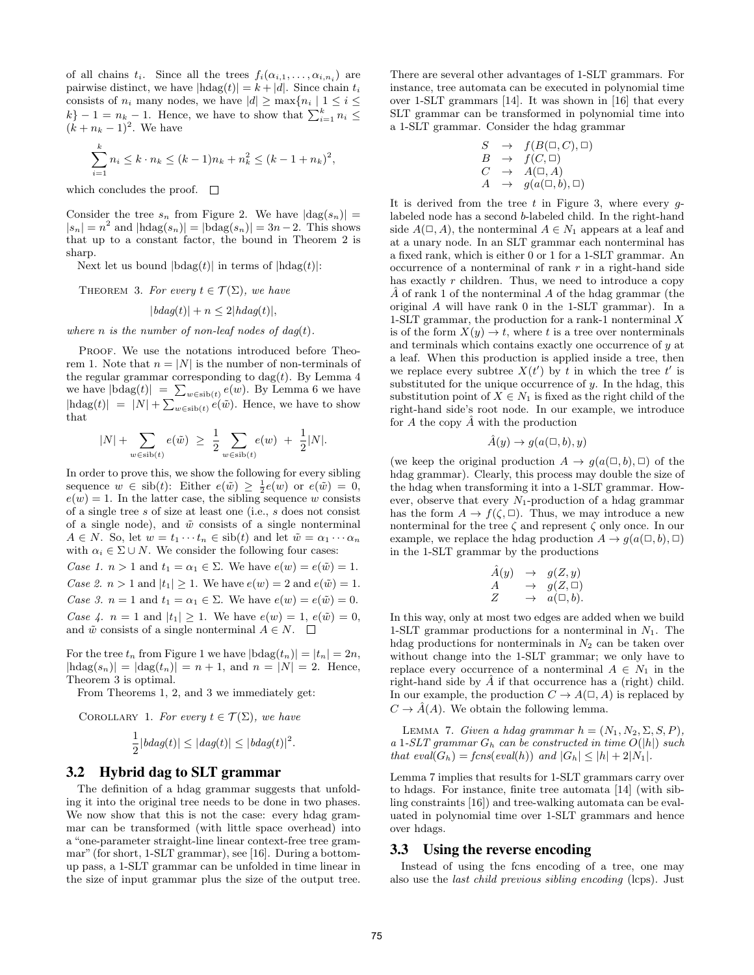of all chains  $t_i$ . Since all the trees  $f_i(\alpha_{i,1},\ldots,\alpha_{i,n_i})$  are pairwise distinct, we have  $|\text{hdag}(t)| = k + |d|$ . Since chain  $t_i$ consists of  $n_i$  many nodes, we have  $|d| \geq \max\{n_i | 1 \leq i \leq$  $\{k\} - 1 = n_k - 1$ . Hence, we have to show that  $\sum_{i=1}^{k} n_i \leq$  $(k + n_k - 1)^2$ . We have

$$
\sum_{i=1}^{k} n_i \le k \cdot n_k \le (k-1)n_k + n_k^2 \le (k-1+n_k)^2,
$$

which concludes the proof.  $\square$ 

Consider the tree  $s_n$  from Figure 2. We have  $|dag(s_n)| =$  $|s_n| = n^2$  and  $|\text{hdag}(s_n)| = |\text{bdag}(s_n)| = 3n - 2$ . This shows that up to a constant factor, the bound in Theorem 2 is sharp.

Next let us bound  $|\text{bdag}(t)|$  in terms of  $|\text{hdag}(t)|$ :

THEOREM 3. For every  $t \in \mathcal{T}(\Sigma)$ , we have  $|bdag(t)| + n \leq 2|hdaq(t)|$ ,

where n is the number of non-leaf nodes of  $dag(t)$ .

PROOF. We use the notations introduced before Theorem 1. Note that  $n = |N|$  is the number of non-terminals of the regular grammar corresponding to  $\text{dag}(t)$ . By Lemma 4 we have  $|\text{bdag}(t)| = \sum_{w \in \text{sib}(t)} e(w)$ . By Lemma 6 we have  $|\text{hdag}(t)| = |N| + \sum_{w \in \text{sib}(t)} e(\tilde{w})$ . Hence, we have to show that

$$
|N| + \sum_{w \in \text{sib}(t)} e(\tilde{w}) \ \geq \ \frac{1}{2} \sum_{w \in \text{sib}(t)} e(w) \ + \ \frac{1}{2}|N|.
$$

In order to prove this, we show the following for every sibling sequence  $w \in \text{sib}(t)$ : Either  $e(\tilde{w}) \geq \frac{1}{2}e(w)$  or  $e(\tilde{w}) = 0$ ,  $e(w) = 1$ . In the latter case, the sibling sequence w consists of a single tree s of size at least one (i.e., s does not consist of a single node), and  $\tilde{w}$  consists of a single nonterminal  $A \in N$ . So, let  $w = t_1 \cdots t_n \in \text{sib}(t)$  and let  $\tilde{w} = \alpha_1 \cdots \alpha_n$ with  $\alpha_i \in \Sigma \cup N$ . We consider the following four cases: Case 1.  $n > 1$  and  $t_1 = \alpha_1 \in \Sigma$ . We have  $e(w) = e(\tilde{w}) = 1$ . Case 2.  $n > 1$  and  $|t_1| \geq 1$ . We have  $e(w) = 2$  and  $e(\tilde{w}) = 1$ . Case 3.  $n = 1$  and  $t_1 = \alpha_1 \in \Sigma$ . We have  $e(w) = e(\tilde{w}) = 0$ . Case 4.  $n = 1$  and  $|t_1| \geq 1$ . We have  $e(w) = 1$ ,  $e(\tilde{w}) = 0$ ,

For the tree  $t_n$  from Figure 1 we have  $|\text{bdag}(t_n)| = |t_n| = 2n$ ,  $|\text{hdag}(s_n)| = |\text{dag}(t_n)| = n + 1$ , and  $n = |N| = 2$ . Hence, Theorem 3 is optimal.

From Theorems 1, 2, and 3 we immediately get:

and  $\tilde{w}$  consists of a single nonterminal  $A \in N$ .  $\square$ 

COROLLARY 1. For every 
$$
t \in \mathcal{T}(\Sigma)
$$
, we have  
\n
$$
\frac{1}{\sum_{i=1}^{L} f_i(x_i)} \leq |f_i(x_i)| \leq |f_i(x_i)|^2
$$

$$
\frac{1}{2}|bdag(t)| \le |dag(t)| \le |bdag(t)|^2.
$$

## 3.2 Hybrid dag to SLT grammar

The definition of a hdag grammar suggests that unfolding it into the original tree needs to be done in two phases. We now show that this is not the case: every hdag grammar can be transformed (with little space overhead) into a "one-parameter straight-line linear context-free tree grammar" (for short, 1-SLT grammar), see [16]. During a bottomup pass, a 1-SLT grammar can be unfolded in time linear in the size of input grammar plus the size of the output tree. There are several other advantages of 1-SLT grammars. For instance, tree automata can be executed in polynomial time over 1-SLT grammars [14]. It was shown in [16] that every SLT grammar can be transformed in polynomial time into a 1-SLT grammar. Consider the hdag grammar

$$
S \rightarrow f(B(\Box, C), \Box)
$$
  
\n
$$
B \rightarrow f(C, \Box)
$$
  
\n
$$
C \rightarrow A(\Box, A)
$$
  
\n
$$
A \rightarrow g(a(\Box, b), \Box)
$$

It is derived from the tree  $t$  in Figure 3, where every  $q$ labeled node has a second b-labeled child. In the right-hand side  $A(\square, A)$ , the nonterminal  $A \in N_1$  appears at a leaf and at a unary node. In an SLT grammar each nonterminal has a fixed rank, which is either 0 or 1 for a 1-SLT grammar. An occurrence of a nonterminal of rank  $r$  in a right-hand side has exactly  $r$  children. Thus, we need to introduce a copy  $\tilde{A}$  of rank 1 of the nonterminal  $A$  of the hdag grammar (the original A will have rank 0 in the 1-SLT grammar). In a 1-SLT grammar, the production for a rank-1 nonterminal X is of the form  $X(y) \to t$ , where t is a tree over nonterminals and terminals which contains exactly one occurrence of y at a leaf. When this production is applied inside a tree, then we replace every subtree  $X(t')$  by t in which the tree t' is substituted for the unique occurrence of  $y$ . In the hdag, this substitution point of  $X \in N_1$  is fixed as the right child of the right-hand side's root node. In our example, we introduce for  $A$  the copy  $A$  with the production

$$
\hat{A}(y) \to g(a(\square, b), y)
$$

(we keep the original production  $A \to g(a(\square, b), \square)$  of the hdag grammar). Clearly, this process may double the size of the hdag when transforming it into a 1-SLT grammar. However, observe that every  $N_1$ -production of a hdag grammar has the form  $A \to f(\zeta, \Box)$ . Thus, we may introduce a new nonterminal for the tree  $\zeta$  and represent  $\zeta$  only once. In our example, we replace the hdag production  $A \to g(a(\square, b), \square)$ in the 1-SLT grammar by the productions

$$
\begin{array}{rcl}\n\hat{A}(y) & \to & g(Z, y) \\
A & \to & g(Z, \Box) \\
Z & \to & a(\Box, b).\n\end{array}
$$

In this way, only at most two edges are added when we build 1-SLT grammar productions for a nonterminal in  $N_1$ . The hdag productions for nonterminals in  $N_2$  can be taken over without change into the 1-SLT grammar; we only have to replace every occurrence of a nonterminal  $A \in N_1$  in the right-hand side by  $\hat{A}$  if that occurrence has a (right) child. In our example, the production  $C \to A(\square, A)$  is replaced by  $C \to \hat{A}(A)$ . We obtain the following lemma.

LEMMA 7. Given a hdag grammar  $h = (N_1, N_2, \Sigma, S, P)$ , a 1-SLT grammar  $G_h$  can be constructed in time  $O(|h|)$  such that  $eval(G_h) = \text{fcns}(eval(h))$  and  $|G_h| \leq |h| + 2|N_1|$ .

Lemma 7 implies that results for 1-SLT grammars carry over to hdags. For instance, finite tree automata [14] (with sibling constraints [16]) and tree-walking automata can be evaluated in polynomial time over 1-SLT grammars and hence over hdags.

#### 3.3 Using the reverse encoding

Instead of using the fcns encoding of a tree, one may also use the last child previous sibling encoding (lcps). Just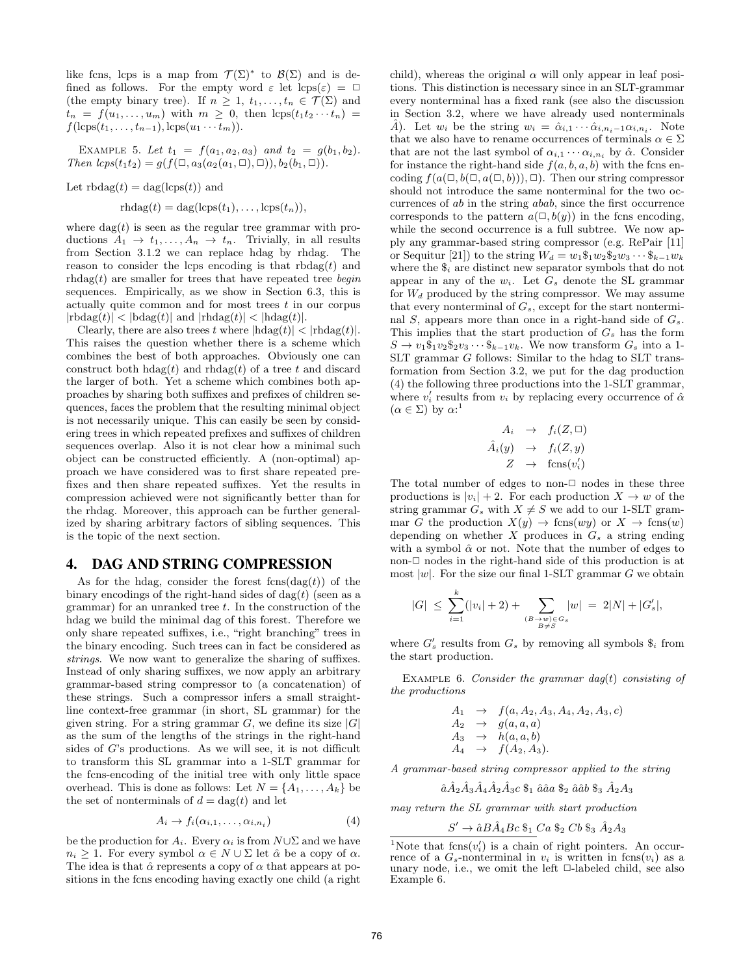like fcns, lcps is a map from  $\mathcal{T}(\Sigma)^*$  to  $\mathcal{B}(\Sigma)$  and is defined as follows. For the empty word  $\varepsilon$  let  $\text{lcps}(\varepsilon) = \Box$ (the empty binary tree). If  $n \geq 1, t_1, \ldots, t_n \in \mathcal{T}(\Sigma)$  and  $t_n = f(u_1, \ldots, u_m)$  with  $m \geq 0$ , then  $\log(t_1 t_2 \cdots t_n) =$  $f(\text{lcps}(t_1, \ldots, t_{n-1}), \text{lcps}(u_1 \cdots t_m)).$ 

EXAMPLE 5. Let  $t_1 = f(a_1, a_2, a_3)$  and  $t_2 = g(b_1, b_2)$ . Then  $lcps(t_1t_2) = g(f(\Box, a_3(a_2(a_1, \Box), \Box)), b_2(b_1, \Box)).$ 

Let  $\text{rbdag}(t) = \text{dag}(\text{lcps}(t))$  and

$$
r h \text{dag}(t) = \text{dag}(\text{lcps}(t_1), \dots, \text{lcps}(t_n)),
$$

where  $\text{dag}(t)$  is seen as the regular tree grammar with productions  $A_1 \rightarrow t_1, \ldots, A_n \rightarrow t_n$ . Trivially, in all results from Section 3.1.2 we can replace hdag by rhdag. The reason to consider the lcps encoding is that  $rbdag(t)$  and  $rhdtag(t)$  are smaller for trees that have repeated tree begin sequences. Empirically, as we show in Section 6.3, this is actually quite common and for most trees  $t$  in our corpus  $|\text{rbdag}(t)| < |\text{bdag}(t)|$  and  $|\text{rhdag}(t)| < |\text{hdag}(t)|$ .

Clearly, there are also trees t where  $|\text{hdag}(t)| < |\text{rhdag}(t)|$ . This raises the question whether there is a scheme which combines the best of both approaches. Obviously one can construct both  $\text{hdag}(t)$  and  $\text{rhdag}(t)$  of a tree t and discard the larger of both. Yet a scheme which combines both approaches by sharing both suffixes and prefixes of children sequences, faces the problem that the resulting minimal object is not necessarily unique. This can easily be seen by considering trees in which repeated prefixes and suffixes of children sequences overlap. Also it is not clear how a minimal such object can be constructed efficiently. A (non-optimal) approach we have considered was to first share repeated prefixes and then share repeated suffixes. Yet the results in compression achieved were not significantly better than for the rhdag. Moreover, this approach can be further generalized by sharing arbitrary factors of sibling sequences. This is the topic of the next section.

## 4. DAG AND STRING COMPRESSION

As for the hdag, consider the forest  $f\text{cns}(d\text{ag}(t))$  of the binary encodings of the right-hand sides of  $\text{dag}(t)$  (seen as a grammar) for an unranked tree  $t$ . In the construction of the hdag we build the minimal dag of this forest. Therefore we only share repeated suffixes, i.e., "right branching" trees in the binary encoding. Such trees can in fact be considered as strings. We now want to generalize the sharing of suffixes. Instead of only sharing suffixes, we now apply an arbitrary grammar-based string compressor to (a concatenation) of these strings. Such a compressor infers a small straightline context-free grammar (in short, SL grammar) for the given string. For a string grammar  $G$ , we define its size  $|G|$ as the sum of the lengths of the strings in the right-hand sides of G's productions. As we will see, it is not difficult to transform this SL grammar into a 1-SLT grammar for the fcns-encoding of the initial tree with only little space overhead. This is done as follows: Let  $N = \{A_1, \ldots, A_k\}$  be the set of nonterminals of  $d = \text{dag}(t)$  and let

$$
A_i \to f_i(\alpha_{i,1}, \dots, \alpha_{i,n_i}) \tag{4}
$$

be the production for  $A_i$ . Every  $\alpha_i$  is from  $N \cup \Sigma$  and we have  $n_i \geq 1$ . For every symbol  $\alpha \in N \cup \Sigma$  let  $\hat{\alpha}$  be a copy of  $\alpha$ . The idea is that  $\hat{\alpha}$  represents a copy of  $\alpha$  that appears at positions in the fcns encoding having exactly one child (a right

child), whereas the original  $\alpha$  will only appear in leaf positions. This distinction is necessary since in an SLT-grammar every nonterminal has a fixed rank (see also the discussion in Section 3.2, where we have already used nonterminals  $\hat{A}$ ). Let  $w_i$  be the string  $w_i = \hat{\alpha}_{i,1} \cdots \hat{\alpha}_{i,n_i-1} \alpha_{i,n_i}$ . Note that we also have to rename occurrences of terminals  $\alpha \in \Sigma$ that are not the last symbol of  $\alpha_{i,1} \cdots \alpha_{i,n_i}$  by  $\hat{\alpha}$ . Consider for instance the right-hand side  $f(a, b, a, b)$  with the fcns encoding  $f(a(\Box, b(\Box, a(\Box, b))), \Box)$ . Then our string compressor should not introduce the same nonterminal for the two occurrences of ab in the string abab, since the first occurrence corresponds to the pattern  $a(\square, b(y))$  in the fcns encoding, while the second occurrence is a full subtree. We now apply any grammar-based string compressor (e.g. RePair [11] or Sequitur [21]) to the string  $W_d = w_1\$_1w_2\$_2w_3\cdots\$_{k-1}w_k$ where the  $\$_i$  are distinct new separator symbols that do not appear in any of the  $w_i$ . Let  $G_s$  denote the SL grammar for  $W_d$  produced by the string compressor. We may assume that every nonterminal of  $G_s$ , except for the start nonterminal  $S$ , appears more than once in a right-hand side of  $G_s$ . This implies that the start production of  $G_s$  has the form  $S \to v_1\$_1v_2\$_2v_3\cdots\$_{k-1}v_k$ . We now transform  $G_s$  into a 1-SLT grammar G follows: Similar to the hdag to SLT transformation from Section 3.2, we put for the dag production (4) the following three productions into the 1-SLT grammar, where  $v'_i$  results from  $v_i$  by replacing every occurrence of  $\hat{\alpha}$  $(\alpha \in \Sigma)$  by  $\alpha$ <sup>1</sup>

$$
A_i \rightarrow f_i(Z, \Box)
$$
  
\n
$$
\hat{A}_i(y) \rightarrow f_i(Z, y)
$$
  
\n
$$
Z \rightarrow \text{fcns}(v_i')
$$

The total number of edges to non- $\Box$  nodes in these three productions is  $|v_i| + 2$ . For each production  $X \to w$  of the string grammar  $G_s$  with  $X \neq S$  we add to our 1-SLT grammar G the production  $X(y) \to \text{fcns}(wy)$  or  $X \to \text{fcns}(w)$ depending on whether  $X$  produces in  $G_s$  a string ending with a symbol  $\hat{\alpha}$  or not. Note that the number of edges to non- $\Box$  nodes in the right-hand side of this production is at most  $|w|$ . For the size our final 1-SLT grammar G we obtain

$$
|G| \leq \sum_{i=1}^{k} (|v_i| + 2) + \sum_{\substack{(B \to w) \in G_s \\ B \neq S}} |w| = 2|N| + |G'_s|,
$$

where  $G'_{s}$  results from  $G_{s}$  by removing all symbols  $\$_{i}$  from the start production.

EXAMPLE 6. Consider the grammar dag(t) consisting of the productions

$$
A_1 \rightarrow f(a, A_2, A_3, A_4, A_2, A_3, c)
$$
  
\n
$$
A_2 \rightarrow g(a, a, a)
$$
  
\n
$$
A_3 \rightarrow h(a, a, b)
$$
  
\n
$$
A_4 \rightarrow f(A_2, A_3).
$$

A grammar-based string compressor applied to the string

 $\hat{a}A_2\hat{A}_3\hat{A}_4\hat{A}_2\hat{A}_3c\;$ \$1  $\hat{a}a\hat{a}a\;$ \$2  $\hat{a}a\hat{b}\;$ \$3  $\hat{A}_2A_3$ 

may return the SL grammar with start production

$$
S' \to \hat{a}B\hat{A}_4Bc \; \$_1\;Ca \; \$_2\;Cb \; \$_3\; \hat{A}_2A_3
$$

<sup>&</sup>lt;sup>1</sup>Note that  $fens(v_i')$  is a chain of right pointers. An occurrence of a  $G_s$ -nonterminal in  $v_i$  is written in fcns $(v_i)$  as a unary node, i.e., we omit the left  $\Box$ -labeled child, see also Example 6.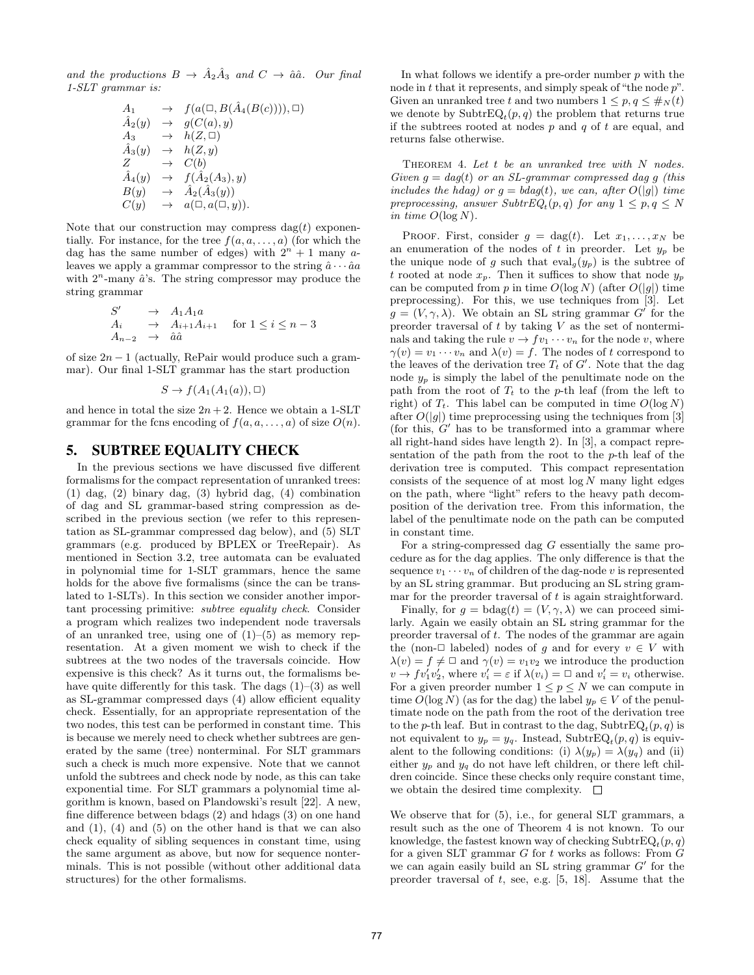and the productions  $B \to \hat{A}_2 \hat{A}_3$  and  $C \to \hat{a} \hat{a}$ . Our final 1-SLT grammar is:

$$
A_1 \rightarrow f(a(\Box, B(\hat{A}_4(B(c)))), \Box)
$$
  
\n
$$
\hat{A}_2(y) \rightarrow g(C(a), y)
$$
  
\n
$$
A_3 \rightarrow h(Z, \Box)
$$
  
\n
$$
\hat{A}_3(y) \rightarrow h(Z, y)
$$
  
\n
$$
Z \rightarrow C(b)
$$
  
\n
$$
\hat{A}_4(y) \rightarrow f(\hat{A}_2(A_3), y)
$$
  
\n
$$
B(y) \rightarrow \hat{A}_2(\hat{A}_3(y))
$$
  
\n
$$
C(y) \rightarrow a(\Box, a(\Box, y)).
$$

Note that our construction may compress  $\text{dag}(t)$  exponentially. For instance, for the tree  $f(a, a, \ldots, a)$  (for which the dag has the same number of edges) with  $2^n + 1$  many aleaves we apply a grammar compressor to the string  $\hat{a} \cdots \hat{a} a$ with  $2^n$ -many  $\hat{a}$ 's. The string compressor may produce the string grammar

$$
S' \rightarrow A_1 A_1 a
$$
  
\n
$$
A_i \rightarrow A_{i+1} A_{i+1} \text{ for } 1 \leq i \leq n-3
$$
  
\n
$$
A_{n-2} \rightarrow \hat{a} \hat{a}
$$

of size  $2n - 1$  (actually, RePair would produce such a grammar). Our final 1-SLT grammar has the start production

$$
S \to f(A_1(A_1(a)), \square)
$$

and hence in total the size  $2n + 2$ . Hence we obtain a 1-SLT grammar for the fcns encoding of  $f(a, a, \ldots, a)$  of size  $O(n)$ .

## 5. SUBTREE EQUALITY CHECK

In the previous sections we have discussed five different formalisms for the compact representation of unranked trees: (1) dag, (2) binary dag, (3) hybrid dag, (4) combination of dag and SL grammar-based string compression as described in the previous section (we refer to this representation as SL-grammar compressed dag below), and (5) SLT grammars (e.g. produced by BPLEX or TreeRepair). As mentioned in Section 3.2, tree automata can be evaluated in polynomial time for 1-SLT grammars, hence the same holds for the above five formalisms (since the can be translated to 1-SLTs). In this section we consider another important processing primitive: subtree equality check. Consider a program which realizes two independent node traversals of an unranked tree, using one of  $(1)$ – $(5)$  as memory representation. At a given moment we wish to check if the subtrees at the two nodes of the traversals coincide. How expensive is this check? As it turns out, the formalisms behave quite differently for this task. The dags  $(1)$ – $(3)$  as well as SL-grammar compressed days (4) allow efficient equality check. Essentially, for an appropriate representation of the two nodes, this test can be performed in constant time. This is because we merely need to check whether subtrees are generated by the same (tree) nonterminal. For SLT grammars such a check is much more expensive. Note that we cannot unfold the subtrees and check node by node, as this can take exponential time. For SLT grammars a polynomial time algorithm is known, based on Plandowski's result [22]. A new, fine difference between bdags (2) and hdags (3) on one hand and  $(1)$ ,  $(4)$  and  $(5)$  on the other hand is that we can also check equality of sibling sequences in constant time, using the same argument as above, but now for sequence nonterminals. This is not possible (without other additional data structures) for the other formalisms.

In what follows we identify a pre-order number  $p$  with the node in t that it represents, and simply speak of "the node  $p$ ". Given an unranked tree t and two numbers  $1 \leq p, q \leq \#_N(t)$ we denote by  $\text{SubtrEQ}_t(p,q)$  the problem that returns true if the subtrees rooted at nodes  $p$  and  $q$  of  $t$  are equal, and returns false otherwise.

THEOREM 4. Let  $t$  be an unranked tree with  $N$  nodes. Given  $g = dag(t)$  or an SL-grammar compressed dag g (this includes the hdag) or  $g = b \cdot d g(t)$ , we can, after  $O(|g|)$  time preprocessing, answer  $SubtrEQ<sub>t</sub>(p,q)$  for any  $1 \leq p,q \leq N$ in time  $O(\log N)$ .

PROOF. First, consider  $g = \text{dag}(t)$ . Let  $x_1, \ldots, x_N$  be an enumeration of the nodes of t in preorder. Let  $y_p$  be the unique node of g such that  $eval_g(y_p)$  is the subtree of t rooted at node  $x_p$ . Then it suffices to show that node  $y_p$ can be computed from p in time  $O(\log N)$  (after  $O(|g|)$  time preprocessing). For this, we use techniques from [3]. Let  $g = (V, \gamma, \lambda)$ . We obtain an SL string grammar G' for the preorder traversal of  $t$  by taking  $V$  as the set of nonterminals and taking the rule  $v \to f v_1 \cdots v_n$  for the node v, where  $\gamma(v) = v_1 \cdots v_n$  and  $\lambda(v) = f$ . The nodes of t correspond to the leaves of the derivation tree  $T_t$  of  $G'$ . Note that the dag node  $y_p$  is simply the label of the penultimate node on the path from the root of  $T_t$  to the p-th leaf (from the left to right) of  $T_t$ . This label can be computed in time  $O(\log N)$ after  $O(|q|)$  time preprocessing using the techniques from [3] (for this,  $G'$  has to be transformed into a grammar where all right-hand sides have length 2). In [3], a compact representation of the path from the root to the  $p$ -th leaf of the derivation tree is computed. This compact representation consists of the sequence of at most  $log N$  many light edges on the path, where "light" refers to the heavy path decomposition of the derivation tree. From this information, the label of the penultimate node on the path can be computed in constant time.

For a string-compressed dag  $G$  essentially the same procedure as for the dag applies. The only difference is that the sequence  $v_1 \cdots v_n$  of children of the dag-node v is represented by an SL string grammar. But producing an SL string grammar for the preorder traversal of  $t$  is again straightforward.

Finally, for  $g = \text{bdag}(t) = (V, \gamma, \lambda)$  we can proceed similarly. Again we easily obtain an SL string grammar for the preorder traversal of t. The nodes of the grammar are again the (non- $\Box$  labeled) nodes of g and for every  $v \in V$  with  $\lambda(v) = f \neq \square$  and  $\gamma(v) = v_1v_2$  we introduce the production  $v \to f v_1' v_2'$ , where  $v_i' = \varepsilon$  if  $\lambda(v_i) = \square$  and  $v_i' = v_i$  otherwise. For a given preorder number  $1 \leq p \leq N$  we can compute in time  $O(\log N)$  (as for the dag) the label  $y_p \in V$  of the penultimate node on the path from the root of the derivation tree to the p-th leaf. But in contrast to the dag,  $\text{SubtrEQ}_t(p,q)$  is not equivalent to  $y_p = y_q$ . Instead, SubtrEQ<sub>t</sub> $(p, q)$  is equivalent to the following conditions: (i)  $\lambda(y_p) = \lambda(y_q)$  and (ii) either  $y_p$  and  $y_q$  do not have left children, or there left children coincide. Since these checks only require constant time, we obtain the desired time complexity.  $\Box$ 

We observe that for  $(5)$ , i.e., for general SLT grammars, a result such as the one of Theorem 4 is not known. To our knowledge, the fastest known way of checking  $\text{SubtrEQ}_t(p,q)$ for a given SLT grammar  $G$  for  $t$  works as follows: From  $G$ we can again easily build an SL string grammar  $G'$  for the preorder traversal of  $t$ , see, e.g.  $[5, 18]$ . Assume that the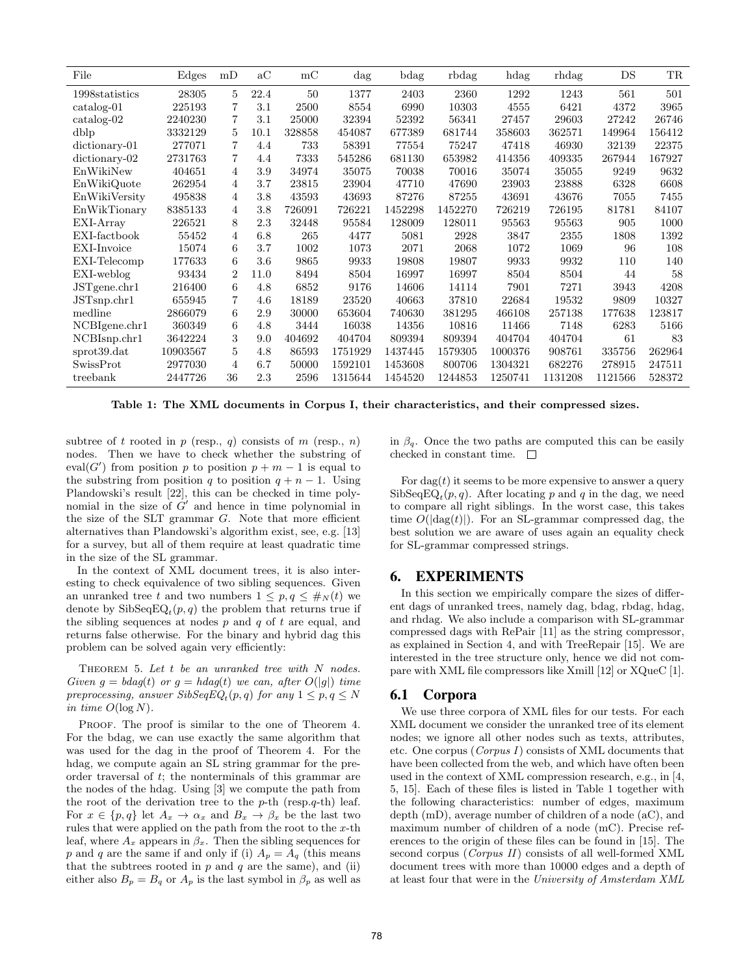| File               | Edges    | mD             | $\mathrm{a}\mathrm{C}$ | mc     | $\rm{dag}$ | bdag    | rbdag   | hdag    | rhdag   | DS      | TR     |
|--------------------|----------|----------------|------------------------|--------|------------|---------|---------|---------|---------|---------|--------|
| 1998statistics     | 28305    | 5              | 22.4                   | 50     | 1377       | 2403    | 2360    | 1292    | 1243    | 561     | 501    |
| $\catalo$ g-01     | 225193   | 7              | 3.1                    | 2500   | 8554       | 6990    | 10303   | 4555    | 6421    | 4372    | 3965   |
| $\catalog-02$      | 2240230  | 7              | 3.1                    | 25000  | 32394      | 52392   | 56341   | 27457   | 29603   | 27242   | 26746  |
| dblp               | 3332129  | 5              | 10.1                   | 328858 | 454087     | 677389  | 681744  | 358603  | 362571  | 149964  | 156412 |
| dictionary-01      | 277071   | 7              | 4.4                    | 733    | 58391      | 77554   | 75247   | 47418   | 46930   | 32139   | 22375  |
| $dictionary-02$    | 2731763  | 7              | 4.4                    | 7333   | 545286     | 681130  | 653982  | 414356  | 409335  | 267944  | 167927 |
| EnWikiNew          | 404651   | 4              | 3.9                    | 34974  | 35075      | 70038   | 70016   | 35074   | 35055   | 9249    | 9632   |
| EnWikiQuote        | 262954   | 4              | 3.7                    | 23815  | 23904      | 47710   | 47690   | 23903   | 23888   | 6328    | 6608   |
| EnWikiVersity      | 495838   | 4              | 3.8                    | 43593  | 43693      | 87276   | 87255   | 43691   | 43676   | 7055    | 7455   |
| EnWikTionary       | 8385133  | 4              | 3.8                    | 726091 | 726221     | 1452298 | 1452270 | 726219  | 726195  | 81781   | 84107  |
| EXI-Array          | 226521   | 8              | 2.3                    | 32448  | 95584      | 128009  | 128011  | 95563   | 95563   | 905     | 1000   |
| EXI-factbook       | 55452    | 4              | 6.8                    | 265    | 4477       | 5081    | 2928    | 3847    | 2355    | 1808    | 1392   |
| EXI-Invoice        | 15074    | 6              | 3.7                    | 1002   | 1073       | 2071    | 2068    | 1072    | 1069    | 96      | 108    |
| EXI-Telecomp       | 177633   | 6              | 3.6                    | 9865   | 9933       | 19808   | 19807   | 9933    | 9932    | 110     | 140    |
| EXI-weblog         | 93434    | $\overline{2}$ | 11.0                   | 8494   | 8504       | 16997   | 16997   | 8504    | 8504    | 44      | 58     |
| $JST$ gene.chr $1$ | 216400   | 6              | 4.8                    | 6852   | 9176       | 14606   | 14114   | 7901    | 7271    | 3943    | 4208   |
| JSTsnp.chr1        | 655945   | 7              | 4.6                    | 18189  | 23520      | 40663   | 37810   | 22684   | 19532   | 9809    | 10327  |
| medline            | 2866079  | 6              | 2.9                    | 30000  | 653604     | 740630  | 381295  | 466108  | 257138  | 177638  | 123817 |
| NCBIgene.chr1      | 360349   | 6              | 4.8                    | 3444   | 16038      | 14356   | 10816   | 11466   | 7148    | 6283    | 5166   |
| NCBIsnp.chr1       | 3642224  | 3              | 9.0                    | 404692 | 404704     | 809394  | 809394  | 404704  | 404704  | 61      | 83     |
| sprot39.dat        | 10903567 | 5              | 4.8                    | 86593  | 1751929    | 1437445 | 1579305 | 1000376 | 908761  | 335756  | 262964 |
| SwissProt          | 2977030  | 4              | 6.7                    | 50000  | 1592101    | 1453608 | 800706  | 1304321 | 682276  | 278915  | 247511 |
| treebank           | 2447726  | 36             | 2.3                    | 2596   | 1315644    | 1454520 | 1244853 | 1250741 | 1131208 | 1121566 | 528372 |

Table 1: The XML documents in Corpus I, their characteristics, and their compressed sizes.

subtree of t rooted in  $p$  (resp.,  $q$ ) consists of  $m$  (resp.,  $n$ ) nodes. Then we have to check whether the substring of eval(G') from position p to position  $p + m - 1$  is equal to the substring from position q to position  $q + n - 1$ . Using Plandowski's result [22], this can be checked in time polynomial in the size of  $G'$  and hence in time polynomial in the size of the SLT grammar  $G$ . Note that more efficient alternatives than Plandowski's algorithm exist, see, e.g. [13] for a survey, but all of them require at least quadratic time in the size of the SL grammar.

In the context of XML document trees, it is also interesting to check equivalence of two sibling sequences. Given an unranked tree t and two numbers  $1 \leq p, q \leq \#_N(t)$  we denote by  $\text{SibSeqEQ}_t(p,q)$  the problem that returns true if the sibling sequences at nodes  $p$  and  $q$  of  $t$  are equal, and returns false otherwise. For the binary and hybrid dag this problem can be solved again very efficiently:

THEOREM 5. Let  $t$  be an unranked tree with  $N$  nodes. Given  $g = b \cdot d a g(t)$  or  $g = h \cdot d a g(t)$  we can, after  $O(|g|)$  time preprocessing, answer  $\textit{SibSeqEQ}_t(p,q)$  for any  $1 \leq p,q \leq N$ in time  $O(\log N)$ .

PROOF. The proof is similar to the one of Theorem 4. For the bdag, we can use exactly the same algorithm that was used for the dag in the proof of Theorem 4. For the hdag, we compute again an SL string grammar for the preorder traversal of t; the nonterminals of this grammar are the nodes of the hdag. Using [3] we compute the path from the root of the derivation tree to the  $p$ -th (resp.q-th) leaf. For  $x \in \{p, q\}$  let  $A_x \to \alpha_x$  and  $B_x \to \beta_x$  be the last two rules that were applied on the path from the root to the  $x$ -th leaf, where  $A_x$  appears in  $\beta_x$ . Then the sibling sequences for p and q are the same if and only if (i)  $A_p = A_q$  (this means that the subtrees rooted in  $p$  and  $q$  are the same), and (ii) either also  $B_p = B_q$  or  $A_p$  is the last symbol in  $\beta_p$  as well as in  $\beta_q$ . Once the two paths are computed this can be easily checked in constant time.  $\quad \Box$ 

For  $\text{dag}(t)$  it seems to be more expensive to answer a query  $\text{SibSeqEQ}_t(p,q)$ . After locating p and q in the dag, we need to compare all right siblings. In the worst case, this takes time  $O(|\text{dag}(t)|)$ . For an SL-grammar compressed dag, the best solution we are aware of uses again an equality check for SL-grammar compressed strings.

## 6. EXPERIMENTS

In this section we empirically compare the sizes of different dags of unranked trees, namely dag, bdag, rbdag, hdag, and rhdag. We also include a comparison with SL-grammar compressed dags with RePair [11] as the string compressor, as explained in Section 4, and with TreeRepair [15]. We are interested in the tree structure only, hence we did not compare with XML file compressors like Xmill [12] or XQueC [1].

#### 6.1 Corpora

We use three corpora of XML files for our tests. For each XML document we consider the unranked tree of its element nodes; we ignore all other nodes such as texts, attributes, etc. One corpus (Corpus I) consists of XML documents that have been collected from the web, and which have often been used in the context of XML compression research, e.g., in [4, 5, 15]. Each of these files is listed in Table 1 together with the following characteristics: number of edges, maximum depth (mD), average number of children of a node (aC), and maximum number of children of a node (mC). Precise references to the origin of these files can be found in [15]. The second corpus (*Corpus II*) consists of all well-formed XML document trees with more than 10000 edges and a depth of at least four that were in the University of Amsterdam XML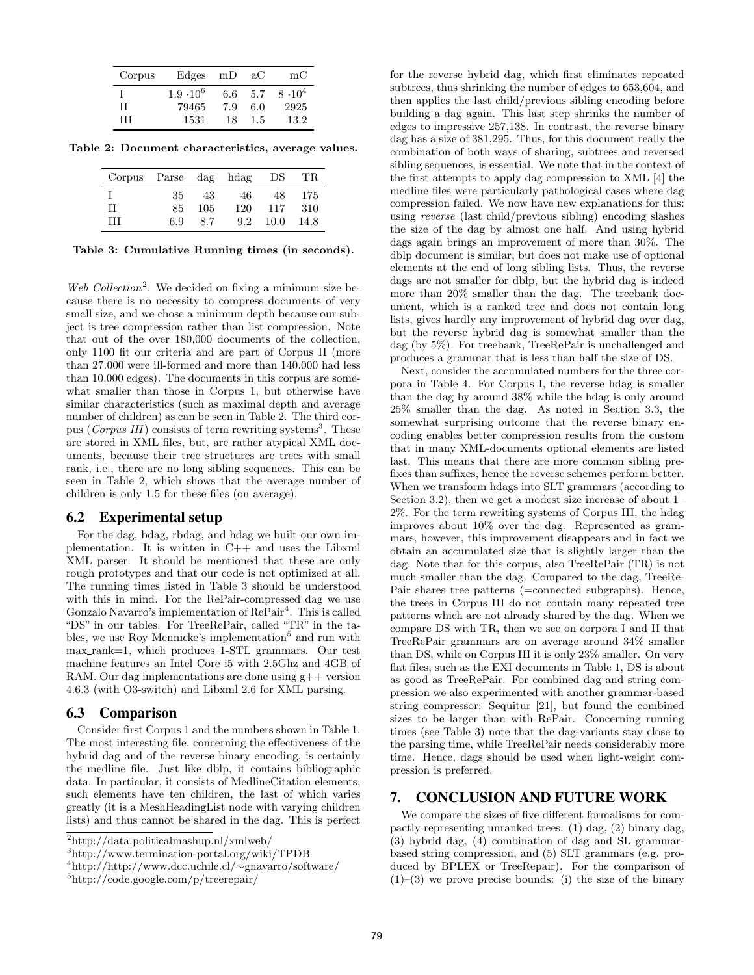| Corpus | Edges            | mD  | aC  | $_{\rm mC}$ |
|--------|------------------|-----|-----|-------------|
|        | $1.9 \cdot 10^6$ | 6.6 | 5.7 | $8.10^{4}$  |
| H      | 79465            | 7.9 | 6.0 | 2925        |
| Ħ      | 1531             | 18  | 1.5 | 13.2        |

Table 2: Document characteristics, average values.

| Corpus Parse dag hdag |     |     |     | DS   | TR.  |
|-----------------------|-----|-----|-----|------|------|
|                       | 35  | 43  | 46  | 48   | 175  |
| IΙ                    | 85  | 105 | 120 | 117  | 310  |
| Ħ                     | 6.9 | 8.7 | 9.2 | 10.0 | 14.8 |

Table 3: Cumulative Running times (in seconds).

Web Collection<sup>2</sup>. We decided on fixing a minimum size because there is no necessity to compress documents of very small size, and we chose a minimum depth because our subject is tree compression rather than list compression. Note that out of the over 180,000 documents of the collection, only 1100 fit our criteria and are part of Corpus II (more than 27.000 were ill-formed and more than 140.000 had less than 10.000 edges). The documents in this corpus are somewhat smaller than those in Corpus 1, but otherwise have similar characteristics (such as maximal depth and average number of children) as can be seen in Table 2. The third corpus (Corpus III) consists of term rewriting systems<sup>3</sup>. These are stored in XML files, but, are rather atypical XML documents, because their tree structures are trees with small rank, i.e., there are no long sibling sequences. This can be seen in Table 2, which shows that the average number of children is only 1.5 for these files (on average).

#### 6.2 Experimental setup

For the dag, bdag, rbdag, and hdag we built our own implementation. It is written in C++ and uses the Libxml XML parser. It should be mentioned that these are only rough prototypes and that our code is not optimized at all. The running times listed in Table 3 should be understood with this in mind. For the RePair-compressed dag we use Gonzalo Navarro's implementation of RePair<sup>4</sup>. This is called "DS" in our tables. For TreeRePair, called "TR" in the tables, we use Roy Mennicke's implementation<sup>5</sup> and run with max rank=1, which produces 1-STL grammars. Our test machine features an Intel Core i5 with 2.5Ghz and 4GB of RAM. Our dag implementations are done using g++ version 4.6.3 (with O3-switch) and Libxml 2.6 for XML parsing.

#### 6.3 Comparison

Consider first Corpus 1 and the numbers shown in Table 1. The most interesting file, concerning the effectiveness of the hybrid dag and of the reverse binary encoding, is certainly the medline file. Just like dblp, it contains bibliographic data. In particular, it consists of MedlineCitation elements; such elements have ten children, the last of which varies greatly (it is a MeshHeadingList node with varying children lists) and thus cannot be shared in the dag. This is perfect for the reverse hybrid dag, which first eliminates repeated subtrees, thus shrinking the number of edges to 653,604, and then applies the last child/previous sibling encoding before building a dag again. This last step shrinks the number of edges to impressive 257,138. In contrast, the reverse binary dag has a size of 381,295. Thus, for this document really the combination of both ways of sharing, subtrees and reversed sibling sequences, is essential. We note that in the context of the first attempts to apply dag compression to XML [4] the medline files were particularly pathological cases where dag compression failed. We now have new explanations for this: using reverse (last child/previous sibling) encoding slashes the size of the dag by almost one half. And using hybrid dags again brings an improvement of more than 30%. The dblp document is similar, but does not make use of optional elements at the end of long sibling lists. Thus, the reverse dags are not smaller for dblp, but the hybrid dag is indeed more than 20% smaller than the dag. The treebank document, which is a ranked tree and does not contain long lists, gives hardly any improvement of hybrid dag over dag, but the reverse hybrid dag is somewhat smaller than the dag (by 5%). For treebank, TreeRePair is unchallenged and produces a grammar that is less than half the size of DS.

Next, consider the accumulated numbers for the three corpora in Table 4. For Corpus I, the reverse hdag is smaller than the dag by around 38% while the hdag is only around 25% smaller than the dag. As noted in Section 3.3, the somewhat surprising outcome that the reverse binary encoding enables better compression results from the custom that in many XML-documents optional elements are listed last. This means that there are more common sibling prefixes than suffixes, hence the reverse schemes perform better. When we transform hdags into SLT grammars (according to Section 3.2), then we get a modest size increase of about 1– 2%. For the term rewriting systems of Corpus III, the hdag improves about 10% over the dag. Represented as grammars, however, this improvement disappears and in fact we obtain an accumulated size that is slightly larger than the dag. Note that for this corpus, also TreeRePair (TR) is not much smaller than the dag. Compared to the dag, TreeRe-Pair shares tree patterns (=connected subgraphs). Hence, the trees in Corpus III do not contain many repeated tree patterns which are not already shared by the dag. When we compare DS with TR, then we see on corpora I and II that TreeRePair grammars are on average around 34% smaller than DS, while on Corpus III it is only 23% smaller. On very flat files, such as the EXI documents in Table 1, DS is about as good as TreeRePair. For combined dag and string compression we also experimented with another grammar-based string compressor: Sequitur [21], but found the combined sizes to be larger than with RePair. Concerning running times (see Table 3) note that the dag-variants stay close to the parsing time, while TreeRePair needs considerably more time. Hence, dags should be used when light-weight compression is preferred.

## 7. CONCLUSION AND FUTURE WORK

We compare the sizes of five different formalisms for compactly representing unranked trees: (1) dag, (2) binary dag, (3) hybrid dag, (4) combination of dag and SL grammarbased string compression, and (5) SLT grammars (e.g. produced by BPLEX or TreeRepair). For the comparison of  $(1)$ – $(3)$  we prove precise bounds: (i) the size of the binary

<sup>2</sup>http://data.politicalmashup.nl/xmlweb/

<sup>3</sup>http://www.termination-portal.org/wiki/TPDB

<sup>4</sup>http://http://www.dcc.uchile.cl/∼gnavarro/software/

<sup>5</sup>http://code.google.com/p/treerepair/